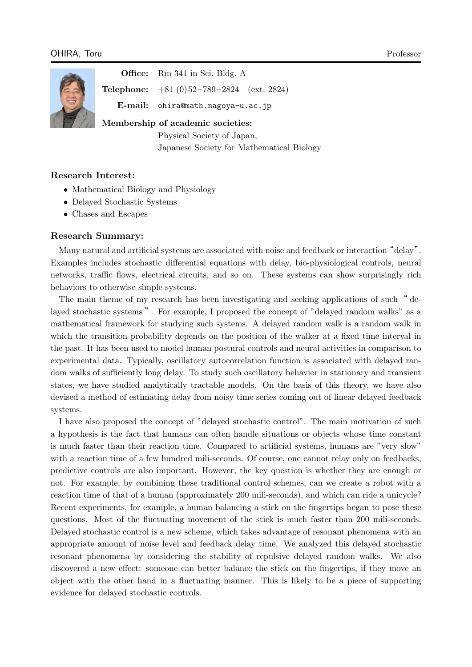

**Office:** Rm 341 in Sci. Bldg. A

**Telephone:** +81 (0) 52 – 789 – 2824 (ext. 2824) **E-mail:** ohira@math.nagoya-u.ac.jp

**Membership of academic societies:**

Physical Society of Japan, [Japanese Society for Mathema](ohira@math.nagoya-u.ac.jp)tical Biology

# **Research Interest:**

- *•* Mathematical Biology and Physiology
- *•* Delayed Stochastic Systems
- *•* Chases and Escapes

## **Research Summary:**

Many natural and artificial systems are associated with noise and feedback or interaction "delay". Examples includes stochastic differential equations with delay, bio-physiological controls, neural networks, traffic flows, electrical circuits, and so on. These systems can show surprisingly rich behaviors to otherwise simple systems.

The main theme of my research has been investigating and seeking applications of such " delayed stochastic systems ". For example, I proposed the concept of "delayed random walks" as a mathematical framework for studying such systems. A delayed random walk is a random walk in which the transition probability depends on the position of the walker at a fixed time interval in the past. It has been used to model human postural controls and neural activities in comparison to experimental data. Typically, oscillatory autocorrelation function is associated with delayed random walks of sufficiently long delay. To study such oscillatory behavior in stationary and transient states, we have studied analytically tractable models. On the basis of this theory, we have also devised a method of estimating delay from noisy time series coming out of linear delayed feedback systems.

I have also proposed the concept of "delayed stochastic control". The main motivation of such a hypothesis is the fact that humans can often handle situations or objects whose time constant is much faster than their reaction time. Compared to artificial systems, humans are "very slow" with a reaction time of a few hundred mili-seconds. Of course, one cannot relay only on feedbacks, predictive controls are also important. However, the key question is whether they are enough or not. For example, by combining these traditional control schemes, can we create a robot with a reaction time of that of a human (approximately 200 mili-seconds), and which can ride a unicycle? Recent experiments, for example, a human balancing a stick on the fingertips began to pose these questions. Most of the fluctuating movement of the stick is much faster than 200 mili-seconds. Delayed stochastic control is a new scheme, which takes advantage of resonant phenomena with an appropriate amount of noise level and feedback delay time. We analyzed this delayed stochastic resonant phenomena by considering the stability of repulsive delayed random walks. We also discovered a new effect: someone can better balance the stick on the fingertips, if they move an object with the other hand in a fluctuating manner. This is likely to be a piece of supporting evidence for delayed stochastic controls.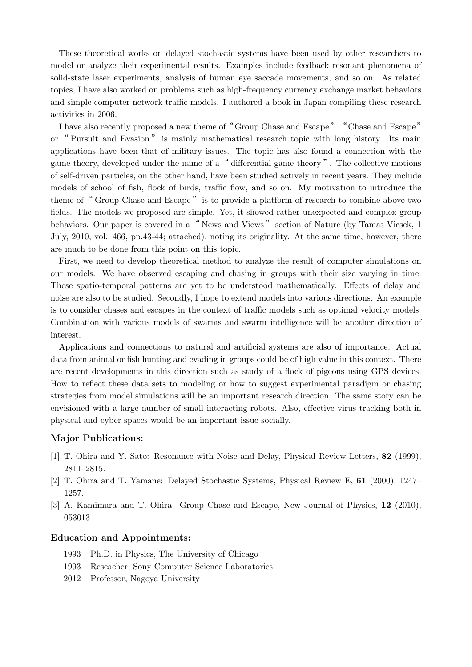These theoretical works on delayed stochastic systems have been used by other researchers to model or analyze their experimental results. Examples include feedback resonant phenomena of solid-state laser experiments, analysis of human eye saccade movements, and so on. As related topics, I have also worked on problems such as high-frequency currency exchange market behaviors and simple computer network traffic models. I authored a book in Japan compiling these research activities in 2006.

I have also recently proposed a new theme of "Group Chase and Escape". "Chase and Escape" or " Pursuit and Evasion " is mainly mathematical research topic with long history. Its main applications have been that of military issues. The topic has also found a connection with the game theory, developed under the name of a" differential game theory ". The collective motions of self-driven particles, on the other hand, have been studied actively in recent years. They include models of school of fish, flock of birds, traffic flow, and so on. My motivation to introduce the theme of " Group Chase and Escape" is to provide a platform of research to combine above two fields. The models we proposed are simple. Yet, it showed rather unexpected and complex group behaviors. Our paper is covered in a "News and Views" section of Nature (by Tamas Vicsek, 1) July, 2010, vol. 466, pp.43-44; attached), noting its originality. At the same time, however, there are much to be done from this point on this topic.

First, we need to develop theoretical method to analyze the result of computer simulations on our models. We have observed escaping and chasing in groups with their size varying in time. These spatio-temporal patterns are yet to be understood mathematically. Effects of delay and noise are also to be studied. Secondly, I hope to extend models into various directions. An example is to consider chases and escapes in the context of traffic models such as optimal velocity models. Combination with various models of swarms and swarm intelligence will be another direction of interest.

Applications and connections to natural and artificial systems are also of importance. Actual data from animal or fish hunting and evading in groups could be of high value in this context. There are recent developments in this direction such as study of a flock of pigeons using GPS devices. How to reflect these data sets to modeling or how to suggest experimental paradigm or chasing strategies from model simulations will be an important research direction. The same story can be envisioned with a large number of small interacting robots. Also, effective virus tracking both in physical and cyber spaces would be an important issue socially.

#### **Major Publications:**

- [1] T. Ohira and Y. Sato: Resonance with Noise and Delay, Physical Review Letters, **82** (1999), 2811–2815.
- [2] T. Ohira and T. Yamane: Delayed Stochastic Systems, Physical Review E, **61** (2000), 1247– 1257.
- [3] A. Kamimura and T. Ohira: Group Chase and Escape, New Journal of Physics, **12** (2010), 053013

#### **Education and Appointments:**

- 1993 Ph.D. in Physics, The University of Chicago
- 1993 Reseacher, Sony Computer Science Laboratories
- 2012 Professor, Nagoya University